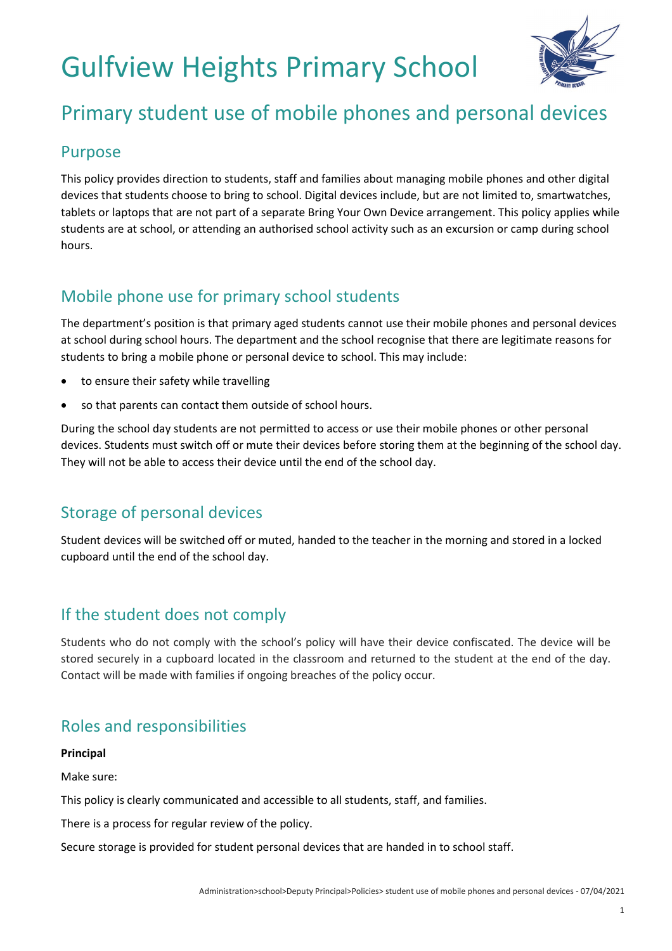# Gulfview Heights Primary School



## Primary student use of mobile phones and personal devices

#### Purpose

This policy provides direction to students, staff and families about managing mobile phones and other digital devices that students choose to bring to school. Digital devices include, but are not limited to, smartwatches, tablets or laptops that are not part of a separate Bring Your Own Device arrangement. This policy applies while students are at school, or attending an authorised school activity such as an excursion or camp during school hours.

## Mobile phone use for primary school students

The department's position is that primary aged students cannot use their mobile phones and personal devices at school during school hours. The department and the school recognise that there are legitimate reasons for students to bring a mobile phone or personal device to school. This may include:

- to ensure their safety while travelling
- so that parents can contact them outside of school hours.

During the school day students are not permitted to access or use their mobile phones or other personal devices. Students must switch off or mute their devices before storing them at the beginning of the school day. They will not be able to access their device until the end of the school day.

## Storage of personal devices

Student devices will be switched off or muted, handed to the teacher in the morning and stored in a locked cupboard until the end of the school day.

## If the student does not comply

Students who do not comply with the school's policy will have their device confiscated. The device will be stored securely in a cupboard located in the classroom and returned to the student at the end of the day. Contact will be made with families if ongoing breaches of the policy occur.

## Roles and responsibilities

#### **Principal**

Make sure:

This policy is clearly communicated and accessible to all students, staff, and families.

There is a process for regular review of the policy.

Secure storage is provided for student personal devices that are handed in to school staff.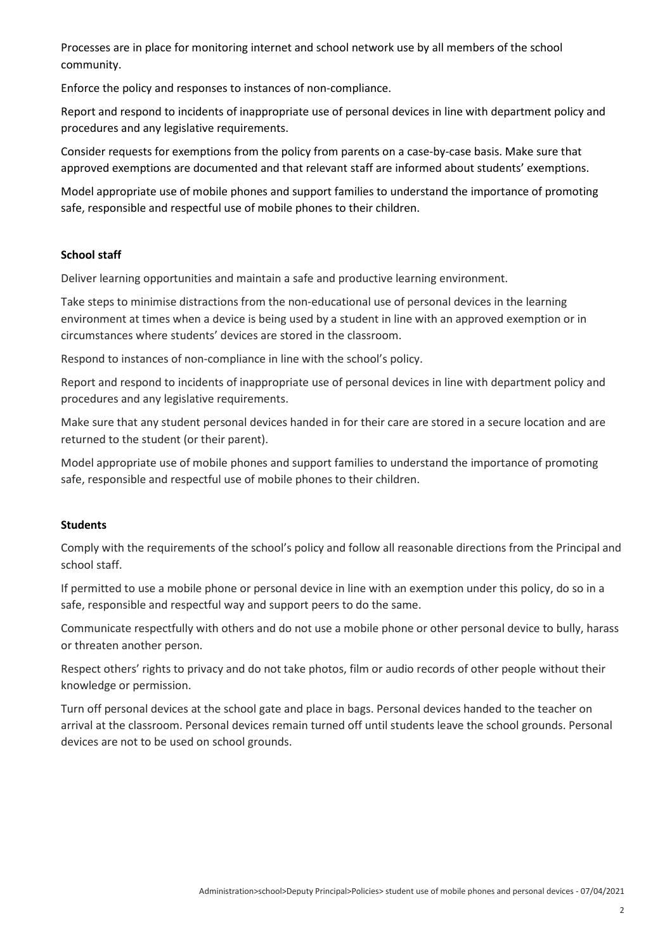Processes are in place for monitoring internet and school network use by all members of the school community.

Enforce the policy and responses to instances of non-compliance.

Report and respond to incidents of inappropriate use of personal devices in line with department policy and procedures and any legislative requirements.

Consider requests for exemptions from the policy from parents on a case-by-case basis. Make sure that approved exemptions are documented and that relevant staff are informed about students' exemptions.

Model appropriate use of mobile phones and support families to understand the importance of promoting safe, responsible and respectful use of mobile phones to their children.

#### **School staff**

Deliver learning opportunities and maintain a safe and productive learning environment.

Take steps to minimise distractions from the non-educational use of personal devices in the learning environment at times when a device is being used by a student in line with an approved exemption or in circumstances where students' devices are stored in the classroom.

Respond to instances of non-compliance in line with the school's policy.

Report and respond to incidents of inappropriate use of personal devices in line with department policy and procedures and any legislative requirements.

Make sure that any student personal devices handed in for their care are stored in a secure location and are returned to the student (or their parent).

Model appropriate use of mobile phones and support families to understand the importance of promoting safe, responsible and respectful use of mobile phones to their children.

#### **Students**

Comply with the requirements of the school's policy and follow all reasonable directions from the Principal and school staff.

If permitted to use a mobile phone or personal device in line with an exemption under this policy, do so in a safe, responsible and respectful way and support peers to do the same.

Communicate respectfully with others and do not use a mobile phone or other personal device to bully, harass or threaten another person.

Respect others' rights to privacy and do not take photos, film or audio records of other people without their knowledge or permission.

Turn off personal devices at the school gate and place in bags. Personal devices handed to the teacher on arrival at the classroom. Personal devices remain turned off until students leave the school grounds. Personal devices are not to be used on school grounds.